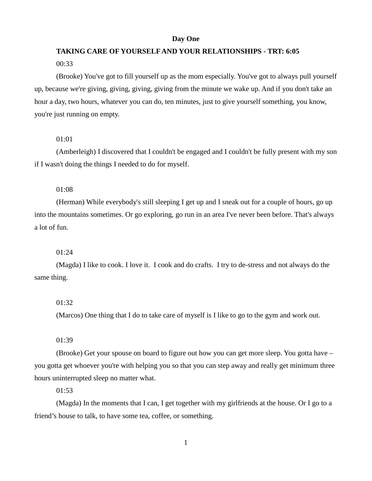#### **Day One**

# **TAKING CARE OF YOURSELF AND YOUR RELATIONSHIPS - TRT: 6:05** 00:33

(Brooke) You've got to fill yourself up as the mom especially. You've got to always pull yourself up, because we're giving, giving, giving, giving from the minute we wake up. And if you don't take an hour a day, two hours, whatever you can do, ten minutes, just to give yourself something, you know, you're just running on empty.

# 01:01

(Amberleigh) I discovered that I couldn't be engaged and I couldn't be fully present with my son if I wasn't doing the things I needed to do for myself.

#### 01:08

(Herman) While everybody's still sleeping I get up and I sneak out for a couple of hours, go up into the mountains sometimes. Or go exploring, go run in an area I've never been before. That's always a lot of fun.

#### 01:24

(Magda) I like to cook. I love it. I cook and do crafts. I try to de-stress and not always do the same thing.

#### 01:32

(Marcos) One thing that I do to take care of myself is I like to go to the gym and work out.

01:39

(Brooke) Get your spouse on board to figure out how you can get more sleep. You gotta have – you gotta get whoever you're with helping you so that you can step away and really get minimum three hours uninterrupted sleep no matter what.

01:53

(Magda) In the moments that I can, I get together with my girlfriends at the house. Or I go to a friend's house to talk, to have some tea, coffee, or something.

1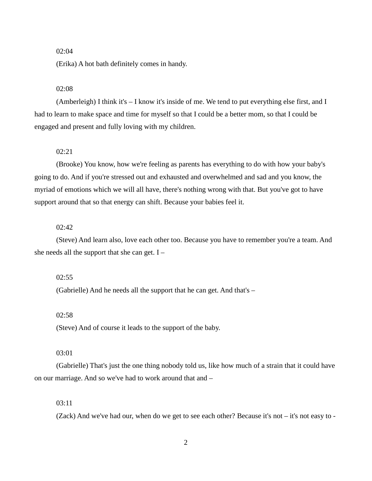# 02:04

(Erika) A hot bath definitely comes in handy.

# 02:08

(Amberleigh) I think it's – I know it's inside of me. We tend to put everything else first, and I had to learn to make space and time for myself so that I could be a better mom, so that I could be engaged and present and fully loving with my children.

## 02:21

(Brooke) You know, how we're feeling as parents has everything to do with how your baby's going to do. And if you're stressed out and exhausted and overwhelmed and sad and you know, the myriad of emotions which we will all have, there's nothing wrong with that. But you've got to have support around that so that energy can shift. Because your babies feel it.

## 02:42

(Steve) And learn also, love each other too. Because you have to remember you're a team. And she needs all the support that she can get.  $I -$ 

#### 02:55

(Gabrielle) And he needs all the support that he can get. And that's –

## $02:58$

(Steve) And of course it leads to the support of the baby.

## 03:01

(Gabrielle) That's just the one thing nobody told us, like how much of a strain that it could have on our marriage. And so we've had to work around that and –

## 03:11

(Zack) And we've had our, when do we get to see each other? Because it's not – it's not easy to -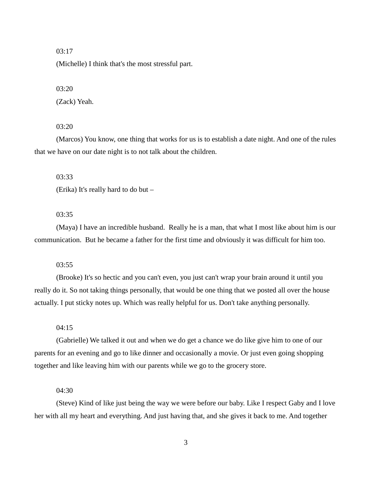# 03:17

(Michelle) I think that's the most stressful part.

## 03:20

(Zack) Yeah.

#### 03:20

(Marcos) You know, one thing that works for us is to establish a date night. And one of the rules that we have on our date night is to not talk about the children.

03:33

(Erika) It's really hard to do but –

# 03:35

(Maya) I have an incredible husband. Really he is a man, that what I most like about him is our communication. But he became a father for the first time and obviously it was difficult for him too.

## 03:55

(Brooke) It's so hectic and you can't even, you just can't wrap your brain around it until you really do it. So not taking things personally, that would be one thing that we posted all over the house actually. I put sticky notes up. Which was really helpful for us. Don't take anything personally.

# 04:15

(Gabrielle) We talked it out and when we do get a chance we do like give him to one of our parents for an evening and go to like dinner and occasionally a movie. Or just even going shopping together and like leaving him with our parents while we go to the grocery store.

## 04:30

(Steve) Kind of like just being the way we were before our baby. Like I respect Gaby and I love her with all my heart and everything. And just having that, and she gives it back to me. And together